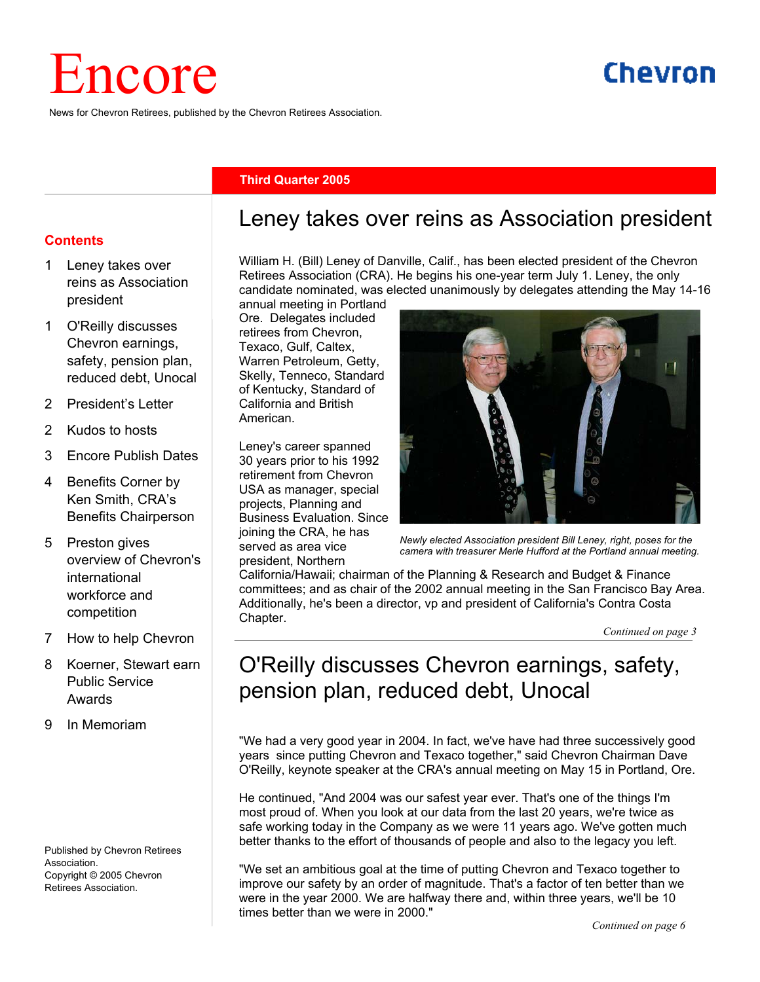# Encore

News for Chevron Retirees, published by the Chevron Retirees Association.

# Chevron

#### **Third Quarter 2005**

#### **Contents**

- Leney takes over reins as Association president
- 1 O'Reilly discusses Chevron earnings, safety, pension plan, reduced debt, Unocal
- 2 President's Letter
- 2 Kudos to hosts
- 3 Encore Publish Dates
- 4 Benefits Corner by Ken Smith, CRA's Benefits Chairperson
- 5 Preston gives overview of Chevron's international workforce and competition
- 7 How to help Chevron
- 8 Koerner, Stewart earn Public Service Awards
- 9 In Memoriam

Published by Chevron Retirees Association. Copyright © 2005 Chevron Retirees Association.

## Leney takes over reins as Association president

William H. (Bill) Leney of Danville, Calif., has been elected president of the Chevron Retirees Association (CRA). He begins his one-year term July 1. Leney, the only candidate nominated, was elected unanimously by delegates attending the May 14-16

annual meeting in Portland Ore. Delegates included retirees from Chevron, Texaco, Gulf, Caltex, Warren Petroleum, Getty, Skelly, Tenneco, Standard of Kentucky, Standard of California and British American.

Leney's career spanned 30 years prior to his 1992 retirement from Chevron USA as manager, special projects, Planning and Business Evaluation. Since joining the CRA, he has served as area vice president, Northern



*Newly elected Association president Bill Leney, right, poses for the camera with treasurer Merle Hufford at the Portland annual meeting.*

California/Hawaii; chairman of the Planning & Research and Budget & Finance committees; and as chair of the 2002 annual meeting in the San Francisco Bay Area. Additionally, he's been a director, vp and president of California's Contra Costa Chapter.

*Continued on page 3*

# O'Reilly discusses Chevron earnings, safety, pension plan, reduced debt, Unocal

"We had a very good year in 2004. In fact, we've have had three successively good years since putting Chevron and Texaco together," said Chevron Chairman Dave O'Reilly, keynote speaker at the CRA's annual meeting on May 15 in Portland, Ore.

He continued, "And 2004 was our safest year ever. That's one of the things I'm most proud of. When you look at our data from the last 20 years, we're twice as safe working today in the Company as we were 11 years ago. We've gotten much better thanks to the effort of thousands of people and also to the legacy you left.

"We set an ambitious goal at the time of putting Chevron and Texaco together to improve our safety by an order of magnitude. That's a factor of ten better than we were in the year 2000. We are halfway there and, within three years, we'll be 10 times better than we were in 2000."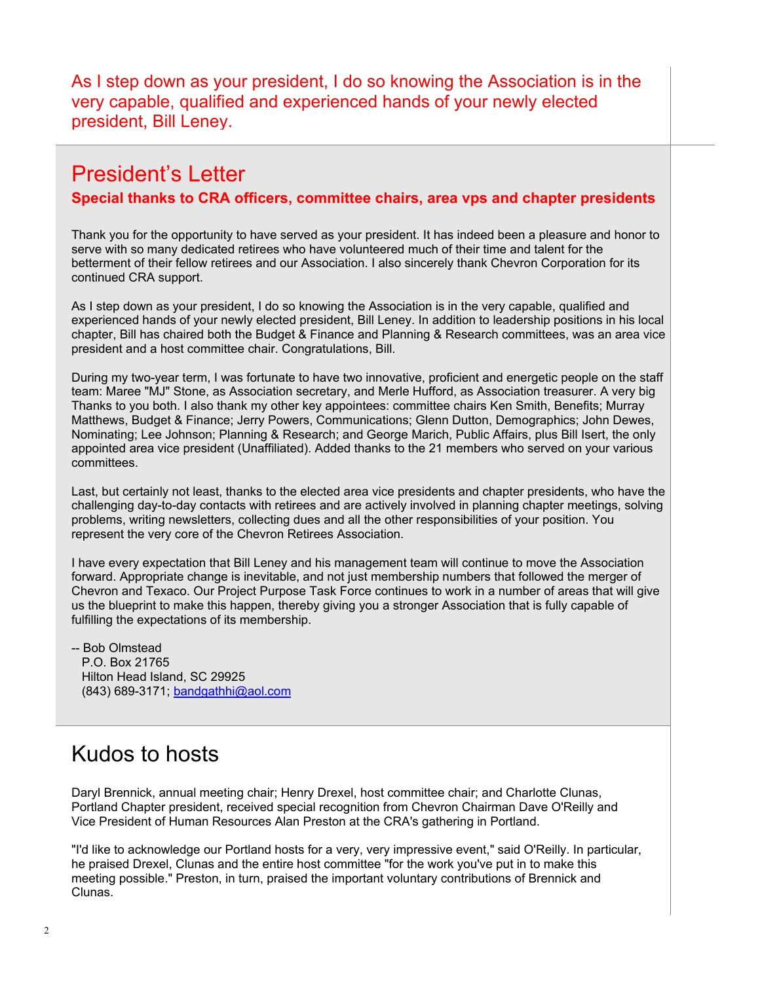As I step down as your president, I do so knowing the Association is in the very capable, qualified and experienced hands of your newly elected president, Bill Leney.

## President's Letter

#### **Special thanks to CRA officers, committee chairs, area vps and chapter presidents**

Thank you for the opportunity to have served as your president. It has indeed been a pleasure and honor to serve with so many dedicated retirees who have volunteered much of their time and talent for the betterment of their fellow retirees and our Association. I also sincerely thank Chevron Corporation for its continued CRA support.

As I step down as your president, I do so knowing the Association is in the very capable, qualified and experienced hands of your newly elected president, Bill Leney. In addition to leadership positions in his local chapter, Bill has chaired both the Budget & Finance and Planning & Research committees, was an area vice president and a host committee chair. Congratulations, Bill.

During my two-year term, I was fortunate to have two innovative, proficient and energetic people on the staff team: Maree "MJ" Stone, as Association secretary, and Merle Hufford, as Association treasurer. A very big Thanks to you both. I also thank my other key appointees: committee chairs Ken Smith, Benefits; Murray Matthews, Budget & Finance; Jerry Powers, Communications; Glenn Dutton, Demographics; John Dewes, Nominating; Lee Johnson; Planning & Research; and George Marich, Public Affairs, plus Bill Isert, the only appointed area vice president (Unaffiliated). Added thanks to the 21 members who served on your various committees.

Last, but certainly not least, thanks to the elected area vice presidents and chapter presidents, who have the challenging day-to-day contacts with retirees and are actively involved in planning chapter meetings, solving problems, writing newsletters, collecting dues and all the other responsibilities of your position. You represent the very core of the Chevron Retirees Association.

I have every expectation that Bill Leney and his management team will continue to move the Association forward. Appropriate change is inevitable, and not just membership numbers that followed the merger of Chevron and Texaco. Our Project Purpose Task Force continues to work in a number of areas that will give us the blueprint to make this happen, thereby giving you a stronger Association that is fully capable of fulfilling the expectations of its membership.

-- Bob Olmstead P.O. Box 21765 Hilton Head Island, SC 29925 (843) 689-3171; bandgathhi@aol.com

# Kudos to hosts

Daryl Brennick, annual meeting chair; Henry Drexel, host committee chair; and Charlotte Clunas, Portland Chapter president, received special recognition from Chevron Chairman Dave O'Reilly and Vice President of Human Resources Alan Preston at the CRA's gathering in Portland.

"I'd like to acknowledge our Portland hosts for a very, very impressive event," said O'Reilly. In particular, he praised Drexel, Clunas and the entire host committee "for the work you've put in to make this meeting possible." Preston, in turn, praised the important voluntary contributions of Brennick and Clunas.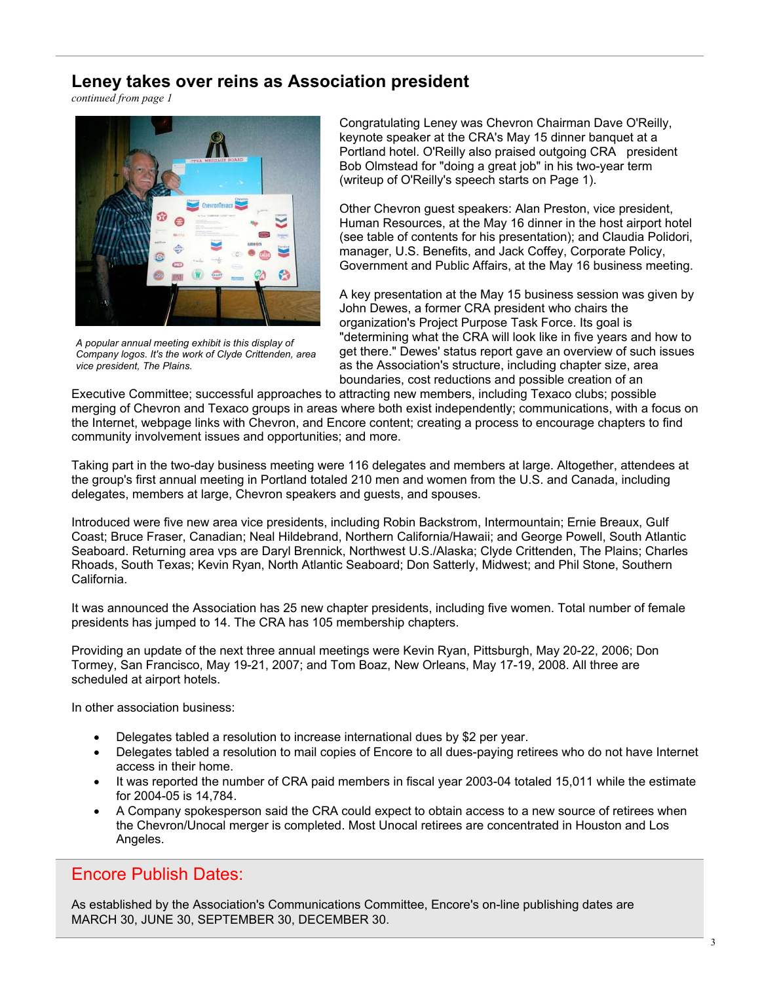#### **Leney takes over reins as Association president**

*continued from page 1*



*A popular annual meeting exhibit is this display of Company logos. It's the work of Clyde Crittenden, area vice president, The Plains.* 

Congratulating Leney was Chevron Chairman Dave O'Reilly, keynote speaker at the CRA's May 15 dinner banquet at a Portland hotel. O'Reilly also praised outgoing CRA president Bob Olmstead for "doing a great job" in his two-year term (writeup of O'Reilly's speech starts on Page 1).

Other Chevron guest speakers: Alan Preston, vice president, Human Resources, at the May 16 dinner in the host airport hotel (see table of contents for his presentation); and Claudia Polidori, manager, U.S. Benefits, and Jack Coffey, Corporate Policy, Government and Public Affairs, at the May 16 business meeting.

A key presentation at the May 15 business session was given by John Dewes, a former CRA president who chairs the organization's Project Purpose Task Force. Its goal is "determining what the CRA will look like in five years and how to get there." Dewes' status report gave an overview of such issues as the Association's structure, including chapter size, area boundaries, cost reductions and possible creation of an

Executive Committee; successful approaches to attracting new members, including Texaco clubs; possible merging of Chevron and Texaco groups in areas where both exist independently; communications, with a focus on the Internet, webpage links with Chevron, and Encore content; creating a process to encourage chapters to find community involvement issues and opportunities; and more.

Taking part in the two-day business meeting were 116 delegates and members at large. Altogether, attendees at the group's first annual meeting in Portland totaled 210 men and women from the U.S. and Canada, including delegates, members at large, Chevron speakers and guests, and spouses.

Introduced were five new area vice presidents, including Robin Backstrom, Intermountain; Ernie Breaux, Gulf Coast; Bruce Fraser, Canadian; Neal Hildebrand, Northern California/Hawaii; and George Powell, South Atlantic Seaboard. Returning area vps are Daryl Brennick, Northwest U.S./Alaska; Clyde Crittenden, The Plains; Charles Rhoads, South Texas; Kevin Ryan, North Atlantic Seaboard; Don Satterly, Midwest; and Phil Stone, Southern California.

It was announced the Association has 25 new chapter presidents, including five women. Total number of female presidents has jumped to 14. The CRA has 105 membership chapters.

Providing an update of the next three annual meetings were Kevin Ryan, Pittsburgh, May 20-22, 2006; Don Tormey, San Francisco, May 19-21, 2007; and Tom Boaz, New Orleans, May 17-19, 2008. All three are scheduled at airport hotels.

In other association business:

- Delegates tabled a resolution to increase international dues by \$2 per year.
- Delegates tabled a resolution to mail copies of Encore to all dues-paying retirees who do not have Internet access in their home.
- It was reported the number of CRA paid members in fiscal year 2003-04 totaled 15,011 while the estimate for 2004-05 is 14,784.
- A Company spokesperson said the CRA could expect to obtain access to a new source of retirees when the Chevron/Unocal merger is completed. Most Unocal retirees are concentrated in Houston and Los Angeles.

## Encore Publish Dates:

As established by the Association's Communications Committee, Encore's on-line publishing dates are MARCH 30, JUNE 30, SEPTEMBER 30, DECEMBER 30.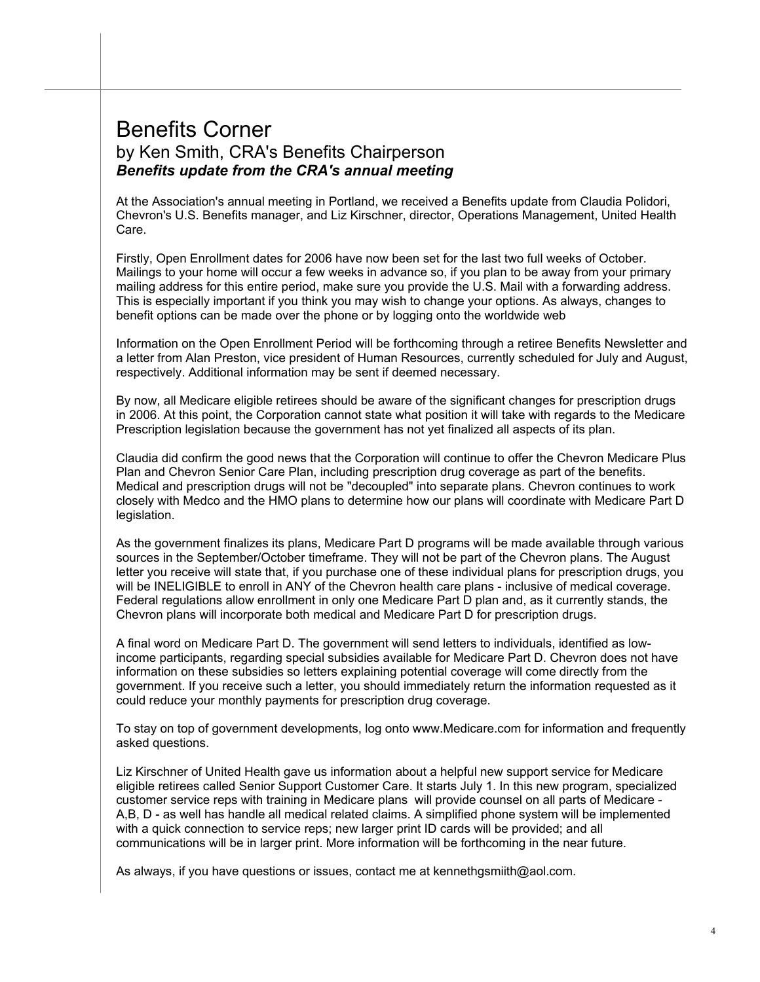## Benefits Corner by Ken Smith, CRA's Benefits Chairperson *Benefits update from the CRA's annual meeting*

At the Association's annual meeting in Portland, we received a Benefits update from Claudia Polidori, Chevron's U.S. Benefits manager, and Liz Kirschner, director, Operations Management, United Health Care.

Firstly, Open Enrollment dates for 2006 have now been set for the last two full weeks of October. Mailings to your home will occur a few weeks in advance so, if you plan to be away from your primary mailing address for this entire period, make sure you provide the U.S. Mail with a forwarding address. This is especially important if you think you may wish to change your options. As always, changes to benefit options can be made over the phone or by logging onto the worldwide web

Information on the Open Enrollment Period will be forthcoming through a retiree Benefits Newsletter and a letter from Alan Preston, vice president of Human Resources, currently scheduled for July and August, respectively. Additional information may be sent if deemed necessary.

By now, all Medicare eligible retirees should be aware of the significant changes for prescription drugs in 2006. At this point, the Corporation cannot state what position it will take with regards to the Medicare Prescription legislation because the government has not yet finalized all aspects of its plan.

Claudia did confirm the good news that the Corporation will continue to offer the Chevron Medicare Plus Plan and Chevron Senior Care Plan, including prescription drug coverage as part of the benefits. Medical and prescription drugs will not be "decoupled" into separate plans. Chevron continues to work closely with Medco and the HMO plans to determine how our plans will coordinate with Medicare Part D legislation.

As the government finalizes its plans, Medicare Part D programs will be made available through various sources in the September/October timeframe. They will not be part of the Chevron plans. The August letter you receive will state that, if you purchase one of these individual plans for prescription drugs, you will be INELIGIBLE to enroll in ANY of the Chevron health care plans - inclusive of medical coverage. Federal regulations allow enrollment in only one Medicare Part D plan and, as it currently stands, the Chevron plans will incorporate both medical and Medicare Part D for prescription drugs.

A final word on Medicare Part D. The government will send letters to individuals, identified as lowincome participants, regarding special subsidies available for Medicare Part D. Chevron does not have information on these subsidies so letters explaining potential coverage will come directly from the government. If you receive such a letter, you should immediately return the information requested as it could reduce your monthly payments for prescription drug coverage.

To stay on top of government developments, log onto www.Medicare.com for information and frequently asked questions.

Liz Kirschner of United Health gave us information about a helpful new support service for Medicare eligible retirees called Senior Support Customer Care. It starts July 1. In this new program, specialized customer service reps with training in Medicare plans will provide counsel on all parts of Medicare - A,B, D - as well has handle all medical related claims. A simplified phone system will be implemented with a quick connection to service reps; new larger print ID cards will be provided; and all communications will be in larger print. More information will be forthcoming in the near future.

As always, if you have questions or issues, contact me at kennethgsmiith@aol.com.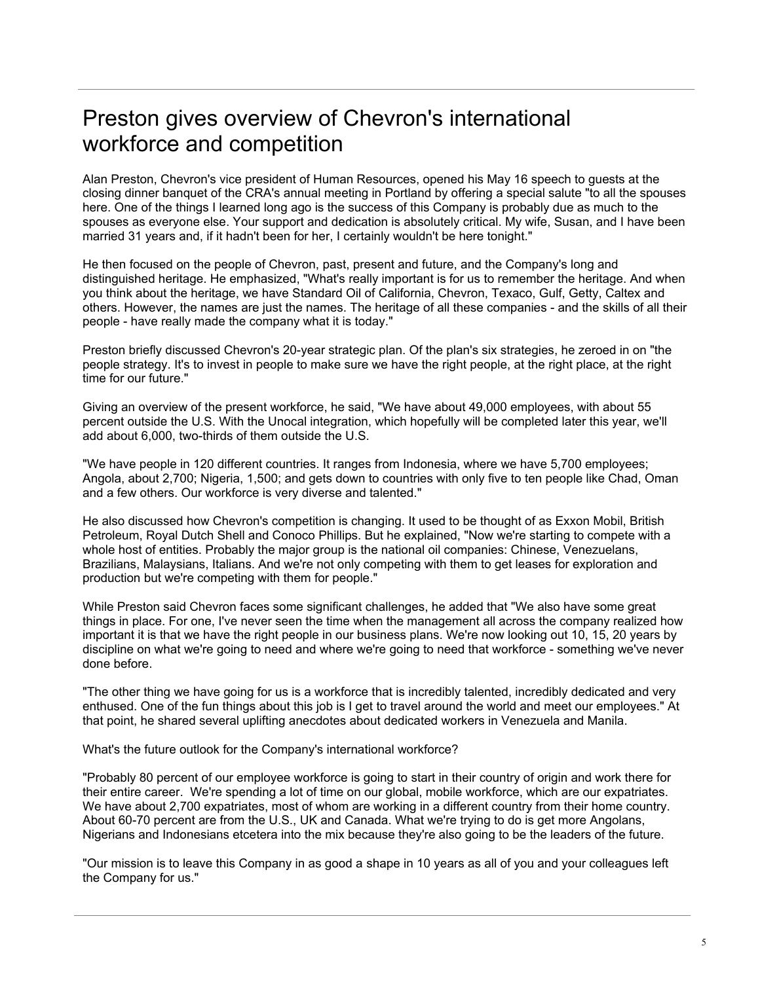# Preston gives overview of Chevron's international workforce and competition

Alan Preston, Chevron's vice president of Human Resources, opened his May 16 speech to guests at the closing dinner banquet of the CRA's annual meeting in Portland by offering a special salute "to all the spouses here. One of the things I learned long ago is the success of this Company is probably due as much to the spouses as everyone else. Your support and dedication is absolutely critical. My wife, Susan, and I have been married 31 years and, if it hadn't been for her, I certainly wouldn't be here tonight."

He then focused on the people of Chevron, past, present and future, and the Company's long and distinguished heritage. He emphasized, "What's really important is for us to remember the heritage. And when you think about the heritage, we have Standard Oil of California, Chevron, Texaco, Gulf, Getty, Caltex and others. However, the names are just the names. The heritage of all these companies - and the skills of all their people - have really made the company what it is today."

Preston briefly discussed Chevron's 20-year strategic plan. Of the plan's six strategies, he zeroed in on "the people strategy. It's to invest in people to make sure we have the right people, at the right place, at the right time for our future."

Giving an overview of the present workforce, he said, "We have about 49,000 employees, with about 55 percent outside the U.S. With the Unocal integration, which hopefully will be completed later this year, we'll add about 6,000, two-thirds of them outside the U.S.

"We have people in 120 different countries. It ranges from Indonesia, where we have 5,700 employees; Angola, about 2,700; Nigeria, 1,500; and gets down to countries with only five to ten people like Chad, Oman and a few others. Our workforce is very diverse and talented."

He also discussed how Chevron's competition is changing. It used to be thought of as Exxon Mobil, British Petroleum, Royal Dutch Shell and Conoco Phillips. But he explained, "Now we're starting to compete with a whole host of entities. Probably the major group is the national oil companies: Chinese, Venezuelans, Brazilians, Malaysians, Italians. And we're not only competing with them to get leases for exploration and production but we're competing with them for people."

While Preston said Chevron faces some significant challenges, he added that "We also have some great things in place. For one, I've never seen the time when the management all across the company realized how important it is that we have the right people in our business plans. We're now looking out 10, 15, 20 years by discipline on what we're going to need and where we're going to need that workforce - something we've never done before.

"The other thing we have going for us is a workforce that is incredibly talented, incredibly dedicated and very enthused. One of the fun things about this job is I get to travel around the world and meet our employees." At that point, he shared several uplifting anecdotes about dedicated workers in Venezuela and Manila.

What's the future outlook for the Company's international workforce?

"Probably 80 percent of our employee workforce is going to start in their country of origin and work there for their entire career. We're spending a lot of time on our global, mobile workforce, which are our expatriates. We have about 2,700 expatriates, most of whom are working in a different country from their home country. About 60-70 percent are from the U.S., UK and Canada. What we're trying to do is get more Angolans, Nigerians and Indonesians etcetera into the mix because they're also going to be the leaders of the future.

"Our mission is to leave this Company in as good a shape in 10 years as all of you and your colleagues left the Company for us."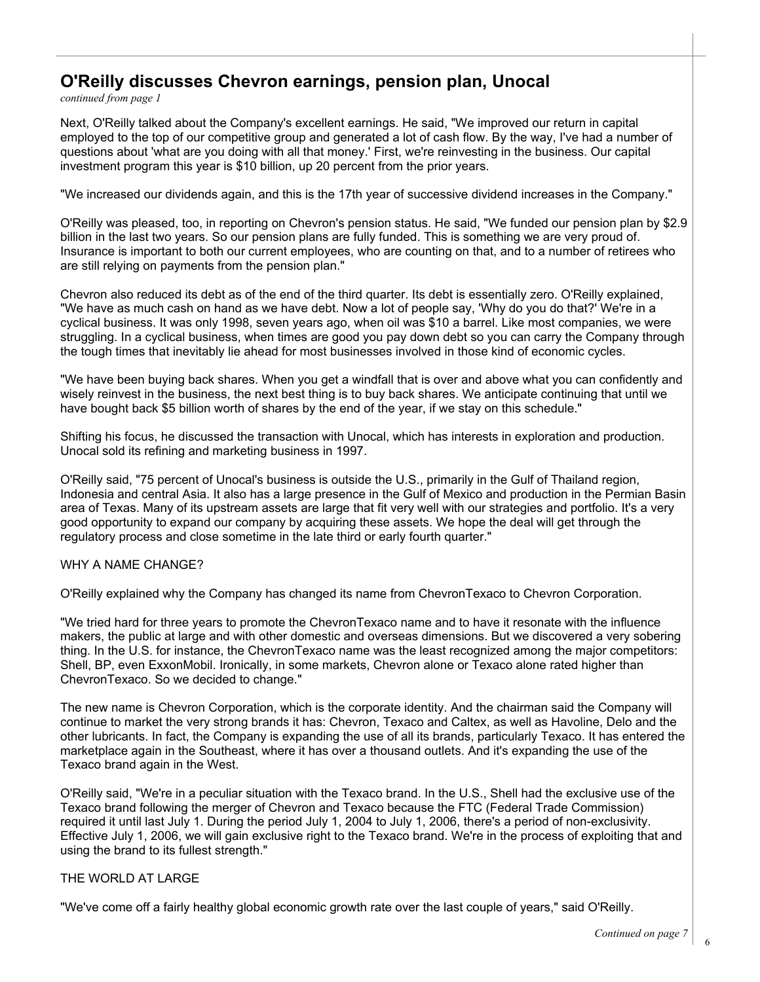#### **O'Reilly discusses Chevron earnings, pension plan, Unocal**

*continued from page 1*

Next, O'Reilly talked about the Company's excellent earnings. He said, "We improved our return in capital employed to the top of our competitive group and generated a lot of cash flow. By the way, I've had a number of questions about 'what are you doing with all that money.' First, we're reinvesting in the business. Our capital investment program this year is \$10 billion, up 20 percent from the prior years.

"We increased our dividends again, and this is the 17th year of successive dividend increases in the Company."

O'Reilly was pleased, too, in reporting on Chevron's pension status. He said, "We funded our pension plan by \$2.9 billion in the last two years. So our pension plans are fully funded. This is something we are very proud of. Insurance is important to both our current employees, who are counting on that, and to a number of retirees who are still relying on payments from the pension plan."

Chevron also reduced its debt as of the end of the third quarter. Its debt is essentially zero. O'Reilly explained, "We have as much cash on hand as we have debt. Now a lot of people say, 'Why do you do that?' We're in a cyclical business. It was only 1998, seven years ago, when oil was \$10 a barrel. Like most companies, we were struggling. In a cyclical business, when times are good you pay down debt so you can carry the Company through the tough times that inevitably lie ahead for most businesses involved in those kind of economic cycles.

"We have been buying back shares. When you get a windfall that is over and above what you can confidently and wisely reinvest in the business, the next best thing is to buy back shares. We anticipate continuing that until we have bought back \$5 billion worth of shares by the end of the year, if we stay on this schedule."

Shifting his focus, he discussed the transaction with Unocal, which has interests in exploration and production. Unocal sold its refining and marketing business in 1997.

O'Reilly said, "75 percent of Unocal's business is outside the U.S., primarily in the Gulf of Thailand region, Indonesia and central Asia. It also has a large presence in the Gulf of Mexico and production in the Permian Basin area of Texas. Many of its upstream assets are large that fit very well with our strategies and portfolio. It's a very good opportunity to expand our company by acquiring these assets. We hope the deal will get through the regulatory process and close sometime in the late third or early fourth quarter."

#### WHY A NAME CHANGE?

O'Reilly explained why the Company has changed its name from ChevronTexaco to Chevron Corporation.

"We tried hard for three years to promote the ChevronTexaco name and to have it resonate with the influence makers, the public at large and with other domestic and overseas dimensions. But we discovered a very sobering thing. In the U.S. for instance, the ChevronTexaco name was the least recognized among the major competitors: Shell, BP, even ExxonMobil. Ironically, in some markets, Chevron alone or Texaco alone rated higher than ChevronTexaco. So we decided to change."

The new name is Chevron Corporation, which is the corporate identity. And the chairman said the Company will continue to market the very strong brands it has: Chevron, Texaco and Caltex, as well as Havoline, Delo and the other lubricants. In fact, the Company is expanding the use of all its brands, particularly Texaco. It has entered the marketplace again in the Southeast, where it has over a thousand outlets. And it's expanding the use of the Texaco brand again in the West.

O'Reilly said, "We're in a peculiar situation with the Texaco brand. In the U.S., Shell had the exclusive use of the Texaco brand following the merger of Chevron and Texaco because the FTC (Federal Trade Commission) required it until last July 1. During the period July 1, 2004 to July 1, 2006, there's a period of non-exclusivity. Effective July 1, 2006, we will gain exclusive right to the Texaco brand. We're in the process of exploiting that and using the brand to its fullest strength."

#### THE WORLD AT LARGE

"We've come off a fairly healthy global economic growth rate over the last couple of years," said O'Reilly.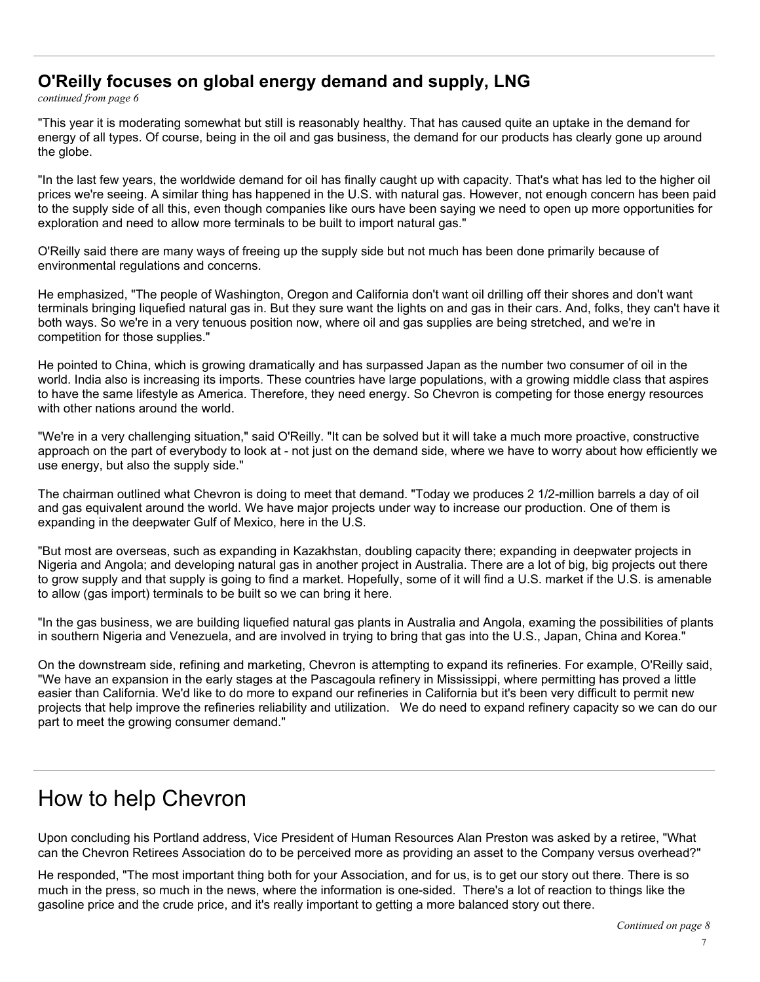#### **O'Reilly focuses on global energy demand and supply, LNG**

*continued from page 6*

"This year it is moderating somewhat but still is reasonably healthy. That has caused quite an uptake in the demand for energy of all types. Of course, being in the oil and gas business, the demand for our products has clearly gone up around the globe.

"In the last few years, the worldwide demand for oil has finally caught up with capacity. That's what has led to the higher oil prices we're seeing. A similar thing has happened in the U.S. with natural gas. However, not enough concern has been paid to the supply side of all this, even though companies like ours have been saying we need to open up more opportunities for exploration and need to allow more terminals to be built to import natural gas."

O'Reilly said there are many ways of freeing up the supply side but not much has been done primarily because of environmental regulations and concerns.

He emphasized, "The people of Washington, Oregon and California don't want oil drilling off their shores and don't want terminals bringing liquefied natural gas in. But they sure want the lights on and gas in their cars. And, folks, they can't have it both ways. So we're in a very tenuous position now, where oil and gas supplies are being stretched, and we're in competition for those supplies."

He pointed to China, which is growing dramatically and has surpassed Japan as the number two consumer of oil in the world. India also is increasing its imports. These countries have large populations, with a growing middle class that aspires to have the same lifestyle as America. Therefore, they need energy. So Chevron is competing for those energy resources with other nations around the world.

"We're in a very challenging situation," said O'Reilly. "It can be solved but it will take a much more proactive, constructive approach on the part of everybody to look at - not just on the demand side, where we have to worry about how efficiently we use energy, but also the supply side."

The chairman outlined what Chevron is doing to meet that demand. "Today we produces 2 1/2-million barrels a day of oil and gas equivalent around the world. We have major projects under way to increase our production. One of them is expanding in the deepwater Gulf of Mexico, here in the U.S.

"But most are overseas, such as expanding in Kazakhstan, doubling capacity there; expanding in deepwater projects in Nigeria and Angola; and developing natural gas in another project in Australia. There are a lot of big, big projects out there to grow supply and that supply is going to find a market. Hopefully, some of it will find a U.S. market if the U.S. is amenable to allow (gas import) terminals to be built so we can bring it here.

"In the gas business, we are building liquefied natural gas plants in Australia and Angola, examing the possibilities of plants in southern Nigeria and Venezuela, and are involved in trying to bring that gas into the U.S., Japan, China and Korea."

On the downstream side, refining and marketing, Chevron is attempting to expand its refineries. For example, O'Reilly said, "We have an expansion in the early stages at the Pascagoula refinery in Mississippi, where permitting has proved a little easier than California. We'd like to do more to expand our refineries in California but it's been very difficult to permit new projects that help improve the refineries reliability and utilization. We do need to expand refinery capacity so we can do our part to meet the growing consumer demand."

# How to help Chevron

Upon concluding his Portland address, Vice President of Human Resources Alan Preston was asked by a retiree, "What can the Chevron Retirees Association do to be perceived more as providing an asset to the Company versus overhead?"

He responded, "The most important thing both for your Association, and for us, is to get our story out there. There is so much in the press, so much in the news, where the information is one-sided. There's a lot of reaction to things like the gasoline price and the crude price, and it's really important to getting a more balanced story out there.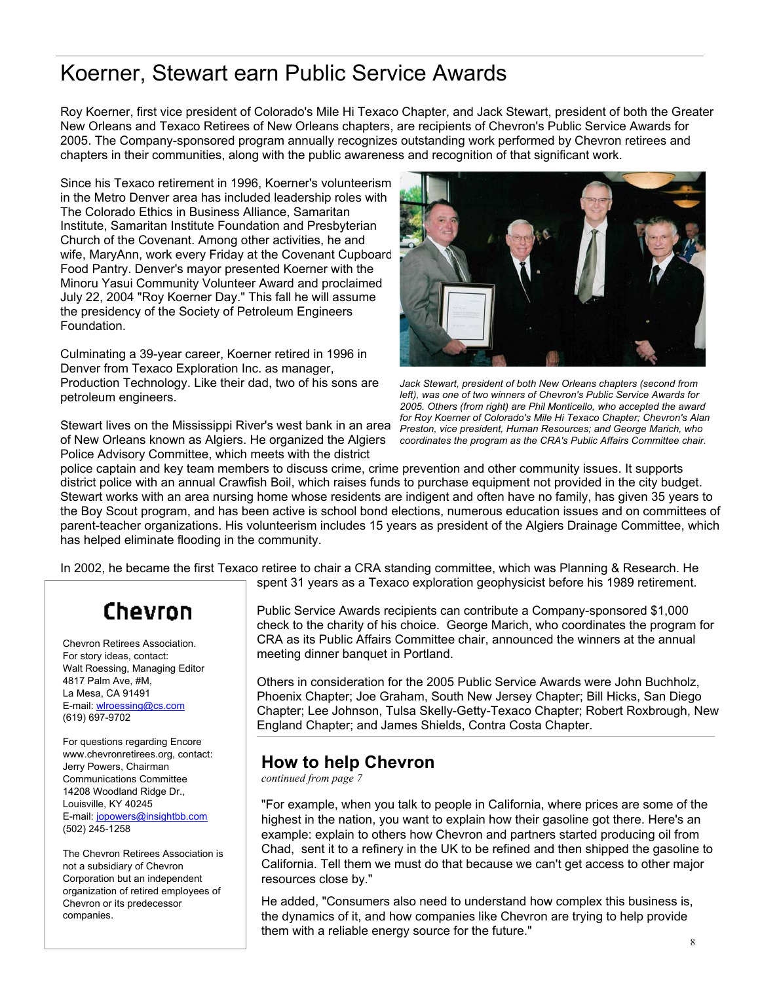## Koerner, Stewart earn Public Service Awards

Roy Koerner, first vice president of Colorado's Mile Hi Texaco Chapter, and Jack Stewart, president of both the Greater New Orleans and Texaco Retirees of New Orleans chapters, are recipients of Chevron's Public Service Awards for 2005. The Company-sponsored program annually recognizes outstanding work performed by Chevron retirees and chapters in their communities, along with the public awareness and recognition of that significant work.

Since his Texaco retirement in 1996, Koerner's volunteerism in the Metro Denver area has included leadership roles with The Colorado Ethics in Business Alliance, Samaritan Institute, Samaritan Institute Foundation and Presbyterian Church of the Covenant. Among other activities, he and wife, MaryAnn, work every Friday at the Covenant Cupboard Food Pantry. Denver's mayor presented Koerner with the Minoru Yasui Community Volunteer Award and proclaimed July 22, 2004 "Roy Koerner Day." This fall he will assume the presidency of the Society of Petroleum Engineers Foundation.

Culminating a 39-year career, Koerner retired in 1996 in Denver from Texaco Exploration Inc. as manager, Production Technology. Like their dad, two of his sons are petroleum engineers.

Stewart lives on the Mississippi River's west bank in an area of New Orleans known as Algiers. He organized the Algiers Police Advisory Committee, which meets with the district



*Jack Stewart, president of both New Orleans chapters (second from left), was one of two winners of Chevron's Public Service Awards for 2005. Others (from right) are Phil Monticello, who accepted the award for Roy Koerner of Colorado's Mile Hi Texaco Chapter; Chevron's Alan Preston, vice president, Human Resources; and George Marich, who coordinates the program as the CRA's Public Affairs Committee chair.* 

police captain and key team members to discuss crime, crime prevention and other community issues. It supports district police with an annual Crawfish Boil, which raises funds to purchase equipment not provided in the city budget. Stewart works with an area nursing home whose residents are indigent and often have no family, has given 35 years to the Boy Scout program, and has been active is school bond elections, numerous education issues and on committees of parent-teacher organizations. His volunteerism includes 15 years as president of the Algiers Drainage Committee, which has helped eliminate flooding in the community.

In 2002, he became the first Texaco retiree to chair a CRA standing committee, which was Planning & Research. He

# Chevron

Chevron Retirees Association. For story ideas, contact: Walt Roessing, Managing Editor 4817 Palm Ave, #M, La Mesa, CA 91491 E-mail: wlroessing@cs.com (619) 697-9702

For questions regarding Encore www.chevronretirees.org, contact: Jerry Powers, Chairman Communications Committee 14208 Woodland Ridge Dr., Louisville, KY 40245 E-mail: jopowers@insightbb.com (502) 245-1258

The Chevron Retirees Association is not a subsidiary of Chevron Corporation but an independent organization of retired employees of Chevron or its predecessor companies.

spent 31 years as a Texaco exploration geophysicist before his 1989 retirement.

Public Service Awards recipients can contribute a Company-sponsored \$1,000 check to the charity of his choice. George Marich, who coordinates the program for CRA as its Public Affairs Committee chair, announced the winners at the annual meeting dinner banquet in Portland.

Others in consideration for the 2005 Public Service Awards were John Buchholz, Phoenix Chapter; Joe Graham, South New Jersey Chapter; Bill Hicks, San Diego Chapter; Lee Johnson, Tulsa Skelly-Getty-Texaco Chapter; Robert Roxbrough, New England Chapter; and James Shields, Contra Costa Chapter.

## **How to help Chevron**

*continued from page 7*

"For example, when you talk to people in California, where prices are some of the highest in the nation, you want to explain how their gasoline got there. Here's an example: explain to others how Chevron and partners started producing oil from Chad, sent it to a refinery in the UK to be refined and then shipped the gasoline to California. Tell them we must do that because we can't get access to other major resources close by."

He added, "Consumers also need to understand how complex this business is, the dynamics of it, and how companies like Chevron are trying to help provide them with a reliable energy source for the future."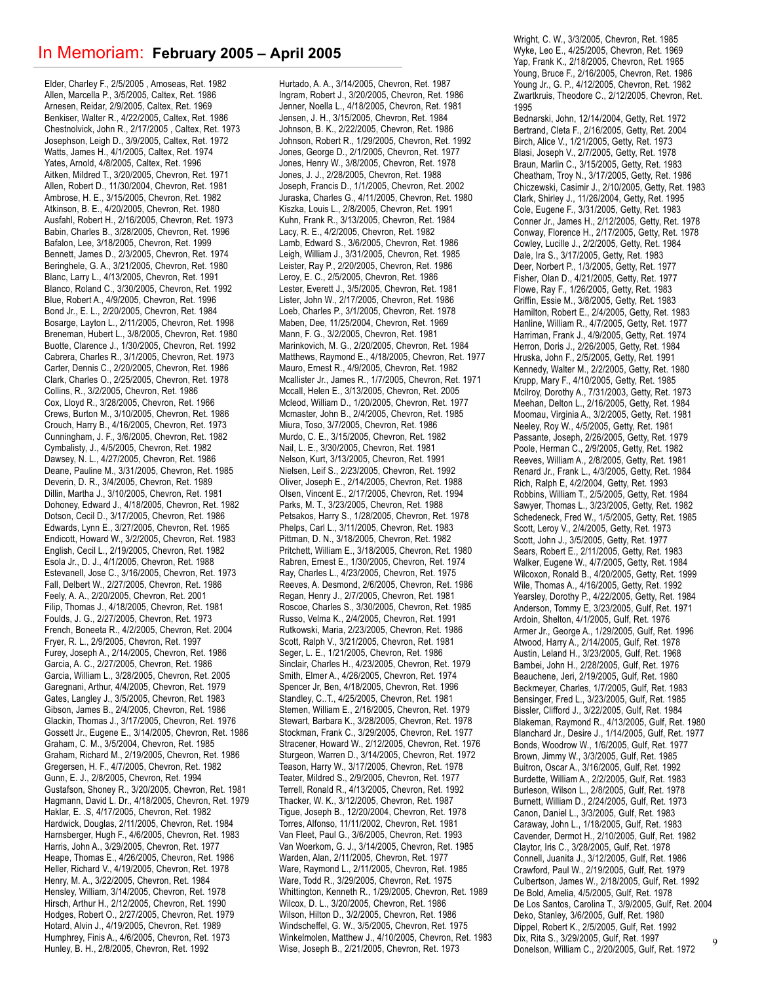#### In Memoriam: **February 2005 – April 2005**

Elder, Charley F., 2/5/2005 , Amoseas, Ret. 1982 Allen, Marcella P., 3/5/2005, Caltex, Ret. 1986 Arnesen, Reidar, 2/9/2005, Caltex, Ret. 1969 Benkiser, Walter R., 4/22/2005, Caltex, Ret. 1986 Chestnolvick, John R., 2/17/2005 , Caltex, Ret. 1973 Josephson, Leigh D., 3/9/2005, Caltex, Ret. 1972 Watts, James H., 4/1/2005, Caltex, Ret. 1974 Yates, Arnold, 4/8/2005, Caltex, Ret. 1996 Aitken, Mildred T., 3/20/2005, Chevron, Ret. 1971 Allen, Robert D., 11/30/2004, Chevron, Ret. 1981 Ambrose, H. E., 3/15/2005, Chevron, Ret. 1982 Atkinson, B. E., 4/20/2005, Chevron, Ret. 1980 Ausfahl, Robert H., 2/16/2005, Chevron, Ret. 1973 Babin, Charles B., 3/28/2005, Chevron, Ret. 1996 Bafalon, Lee, 3/18/2005, Chevron, Ret. 1999 Bennett, James D., 2/3/2005, Chevron, Ret. 1974 Beringhele, G. A., 3/21/2005, Chevron, Ret. 1980 Blanc, Larry L., 4/13/2005, Chevron, Ret. 1991 Blanco, Roland C., 3/30/2005, Chevron, Ret. 1992 Blue, Robert A., 4/9/2005, Chevron, Ret. 1996 Bond Jr., E. L., 2/20/2005, Chevron, Ret. 1984 Bosarge, Layton L., 2/11/2005, Chevron, Ret. 1998 Breneman, Hubert L., 3/8/2005, Chevron, Ret. 1980 Buotte, Clarence J., 1/30/2005, Chevron, Ret. 1992 Cabrera, Charles R., 3/1/2005, Chevron, Ret. 1973 Carter, Dennis C., 2/20/2005, Chevron, Ret. 1986 Clark, Charles O., 2/25/2005, Chevron, Ret. 1978 Collins, R., 3/2/2005, Chevron, Ret. 1986 Cox, Lloyd R., 3/28/2005, Chevron, Ret. 1966 Crews, Burton M., 3/10/2005, Chevron, Ret. 1986 Crouch, Harry B., 4/16/2005, Chevron, Ret. 1973 Cunningham, J. F., 3/6/2005, Chevron, Ret. 1982 Cymbalisty, J., 4/5/2005, Chevron, Ret. 1982 Dawsey, N. L., 4/27/2005, Chevron, Ret. 1986 Deane, Pauline M., 3/31/2005, Chevron, Ret. 1985 Deverin, D. R., 3/4/2005, Chevron, Ret. 1989 Dillin, Martha J., 3/10/2005, Chevron, Ret. 1981 Dohoney, Edward J., 4/18/2005, Chevron, Ret. 1982 Dotson, Cecil D., 3/17/2005, Chevron, Ret. 1986 Edwards, Lynn E., 3/27/2005, Chevron, Ret. 1965 Endicott, Howard W., 3/2/2005, Chevron, Ret. 1983 English, Cecil L., 2/19/2005, Chevron, Ret. 1982 Esola Jr., D. J., 4/1/2005, Chevron, Ret. 1988 Estevanell, Jose C., 3/16/2005, Chevron, Ret. 1973 Fall, Delbert W., 2/27/2005, Chevron, Ret. 1986 Feely, A. A., 2/20/2005, Chevron, Ret. 2001 Filip, Thomas J., 4/18/2005, Chevron, Ret. 1981 Foulds, J. G., 2/27/2005, Chevron, Ret. 1973 French, Boneeta R., 4/2/2005, Chevron, Ret. 2004 Fryer, R. L., 2/9/2005, Chevron, Ret. 1997 Furey, Joseph A., 2/14/2005, Chevron, Ret. 1986 Garcia, A. C., 2/27/2005, Chevron, Ret. 1986 Garcia, William L., 3/28/2005, Chevron, Ret. 2005 Garegnani, Arthur, 4/4/2005, Chevron, Ret. 1979 Gates, Langley J., 3/5/2005, Chevron, Ret. 1983 Gibson, James B., 2/4/2005, Chevron, Ret. 1986 Glackin, Thomas J., 3/17/2005, Chevron, Ret. 1976 Gossett Jr., Eugene E., 3/14/2005, Chevron, Ret. 1986 Graham, C. M., 3/5/2004, Chevron, Ret. 1985 Graham, Richard M., 2/19/2005, Chevron, Ret. 1986 Gregersen, H. F., 4/7/2005, Chevron, Ret. 1982 Gunn, E. J., 2/8/2005, Chevron, Ret. 1994 Gustafson, Shoney R., 3/20/2005, Chevron, Ret. 1981 Hagmann, David L. Dr., 4/18/2005, Chevron, Ret. 1979 Haklar, E. .S, 4/17/2005, Chevron, Ret. 1982 Hardwick, Douglas, 2/11/2005, Chevron, Ret. 1984 Harnsberger, Hugh F., 4/6/2005, Chevron, Ret. 1983 Harris, John A., 3/29/2005, Chevron, Ret. 1977 Heape, Thomas E., 4/26/2005, Chevron, Ret. 1986 Heller, Richard V., 4/19/2005, Chevron, Ret. 1978 Henry, M. A., 3/22/2005, Chevron, Ret. 1984 Hensley, William, 3/14/2005, Chevron, Ret. 1978 Hirsch, Arthur H., 2/12/2005, Chevron, Ret. 1990 Hodges, Robert O., 2/27/2005, Chevron, Ret. 1979 Hotard, Alvin J., 4/19/2005, Chevron, Ret. 1989 Humphrey, Finis A., 4/6/2005, Chevron, Ret. 1973 Hunley, B. H., 2/8/2005, Chevron, Ret. 1992

Hurtado, A. A., 3/14/2005, Chevron, Ret. 1987 Ingram, Robert J., 3/20/2005, Chevron, Ret. 1986 Jenner, Noella L., 4/18/2005, Chevron, Ret. 1981 Jensen, J. H., 3/15/2005, Chevron, Ret. 1984 Johnson, B. K., 2/22/2005, Chevron, Ret. 1986 Johnson, Robert R., 1/29/2005, Chevron, Ret. 1992 Jones, George D., 2/1/2005, Chevron, Ret. 1977 Jones, Henry W., 3/8/2005, Chevron, Ret. 1978 Jones, J. J., 2/28/2005, Chevron, Ret. 1988 Joseph, Francis D., 1/1/2005, Chevron, Ret. 2002 Juraska, Charles G., 4/11/2005, Chevron, Ret. 1980 Kiszka, Louis L., 2/8/2005, Chevron, Ret. 1991 Kuhn, Frank R., 3/13/2005, Chevron, Ret. 1984 Lacy, R. E., 4/2/2005, Chevron, Ret. 1982 Lamb, Edward S., 3/6/2005, Chevron, Ret. 1986 Leigh, William J., 3/31/2005, Chevron, Ret. 1985 Leister, Ray P., 2/20/2005, Chevron, Ret. 1986 Leroy, E. C., 2/5/2005, Chevron, Ret. 1986 Lester, Everett J., 3/5/2005, Chevron, Ret. 1981 Lister, John W., 2/17/2005, Chevron, Ret. 1986 Loeb, Charles P., 3/1/2005, Chevron, Ret. 1978 Maben, Dee, 11/25/2004, Chevron, Ret. 1969 Mann, F. G., 3/2/2005, Chevron, Ret. 1981 Marinkovich, M. G., 2/20/2005, Chevron, Ret. 1984 Matthews, Raymond E., 4/18/2005, Chevron, Ret. 1977 Mauro, Ernest R., 4/9/2005, Chevron, Ret. 1982 Mcallister Jr., James R., 1/7/2005, Chevron, Ret. 1971 Mccall, Helen E., 3/13/2005, Chevron, Ret. 2005 Mcleod, William D., 1/20/2005, Chevron, Ret. 1977 Mcmaster, John B., 2/4/2005, Chevron, Ret. 1985 Miura, Toso, 3/7/2005, Chevron, Ret. 1986 Murdo, C. E., 3/15/2005, Chevron, Ret. 1982 Nail, L. E., 3/30/2005, Chevron, Ret. 1981 Nelson, Kurt, 3/13/2005, Chevron, Ret. 1991 Nielsen, Leif S., 2/23/2005, Chevron, Ret. 1992 Oliver, Joseph E., 2/14/2005, Chevron, Ret. 1988 Olsen, Vincent E., 2/17/2005, Chevron, Ret. 1994 Parks, M. T., 3/23/2005, Chevron, Ret. 1988 Petsakos, Harry S., 1/28/2005, Chevron, Ret. 1978 Phelps, Carl L., 3/11/2005, Chevron, Ret. 1983 Pittman, D. N., 3/18/2005, Chevron, Ret. 1982 Pritchett, William E., 3/18/2005, Chevron, Ret. 1980 Rabren, Ernest E., 1/30/2005, Chevron, Ret. 1974 Ray, Charles L., 4/23/2005, Chevron, Ret. 1975 Reeves, A. Desmond, 2/6/2005, Chevron, Ret. 1986 Regan, Henry J., 2/7/2005, Chevron, Ret. 1981 Roscoe, Charles S., 3/30/2005, Chevron, Ret. 1985 Russo, Velma K., 2/4/2005, Chevron, Ret. 1991 Rutkowski, Maria, 2/23/2005, Chevron, Ret. 1986 Scott, Ralph V., 3/21/2005, Chevron, Ret. 1981 Seger, L. E., 1/21/2005, Chevron, Ret. 1986 Sinclair, Charles H., 4/23/2005, Chevron, Ret. 1979 Smith, Elmer A., 4/26/2005, Chevron, Ret. 1974 Spencer Jr, Ben, 4/18/2005, Chevron, Ret. 1996 Standley, C..T., 4/25/2005, Chevron, Ret. 1981 Stemen, William E., 2/16/2005, Chevron, Ret. 1979 Stewart, Barbara K., 3/28/2005, Chevron, Ret. 1978 Stockman, Frank C., 3/29/2005, Chevron, Ret. 1977 Stracener, Howard W., 2/12/2005, Chevron, Ret. 1976 Sturgeon, Warren D., 3/14/2005, Chevron, Ret. 1972 Teason, Harry W., 3/17/2005, Chevron, Ret. 1978 Teater, Mildred S., 2/9/2005, Chevron, Ret. 1977 Terrell, Ronald R., 4/13/2005, Chevron, Ret. 1992 Thacker, W. K., 3/12/2005, Chevron, Ret. 1987 Tigue, Joseph B., 12/20/2004, Chevron, Ret. 1978 Torres, Alfonso, 11/11/2002, Chevron, Ret. 1981 Van Fleet, Paul G., 3/6/2005, Chevron, Ret. 1993 Van Woerkom, G. J., 3/14/2005, Chevron, Ret. 1985 Warden, Alan, 2/11/2005, Chevron, Ret. 1977 Ware, Raymond L., 2/11/2005, Chevron, Ret. 1985 Ware, Todd R., 3/29/2005, Chevron, Ret. 1975 Whittington, Kenneth R., 1/29/2005, Chevron, Ret. 1989 Wilcox, D. L., 3/20/2005, Chevron, Ret. 1986 Wilson, Hilton D., 3/2/2005, Chevron, Ret. 1986 Windscheffel, G. W., 3/5/2005, Chevron, Ret. 1975 Winkelmolen, Matthew J., 4/10/2005, Chevron, Ret. 1983 Wise, Joseph B., 2/21/2005, Chevron, Ret. 1973

9 Wright, C. W., 3/3/2005, Chevron, Ret. 1985 Wyke, Leo E., 4/25/2005, Chevron, Ret. 1969 Yap, Frank K., 2/18/2005, Chevron, Ret. 1965 Young, Bruce F., 2/16/2005, Chevron, Ret. 1986 Young Jr., G. P., 4/12/2005, Chevron, Ret. 1982 Zwartkruis, Theodore C., 2/12/2005, Chevron, Ret. 1995 Bednarski, John, 12/14/2004, Getty, Ret. 1972 Bertrand, Cleta F., 2/16/2005, Getty, Ret. 2004 Birch, Alice V., 1/21/2005, Getty, Ret. 1973 Blasi, Joseph V., 2/7/2005, Getty, Ret. 1978 Braun, Marlin C., 3/15/2005, Getty, Ret. 1983 Cheatham, Troy N., 3/17/2005, Getty, Ret. 1986 Chiczewski, Casimir J., 2/10/2005, Getty, Ret. 1983 Clark, Shirley J., 11/26/2004, Getty, Ret. 1995 Cole, Eugene F., 3/31/2005, Getty, Ret. 1983 Conner Jr., James H., 2/12/2005, Getty, Ret. 1978 Conway, Florence H., 2/17/2005, Getty, Ret. 1978 Cowley, Lucille J., 2/2/2005, Getty, Ret. 1984 Dale, Ira S., 3/17/2005, Getty, Ret. 1983 Deer, Norbert P., 1/3/2005, Getty, Ret. 1977 Fisher, Olan D., 4/21/2005, Getty, Ret. 1977 Flowe, Ray F., 1/26/2005, Getty, Ret. 1983 Griffin, Essie M., 3/8/2005, Getty, Ret. 1983 Hamilton, Robert E., 2/4/2005, Getty, Ret. 1983 Hanline, William R., 4/7/2005, Getty, Ret. 1977 Harriman, Frank J., 4/9/2005, Getty, Ret. 1974 Herron, Doris J., 2/26/2005, Getty, Ret. 1984 Hruska, John F., 2/5/2005, Getty, Ret. 1991 Kennedy, Walter M., 2/2/2005, Getty, Ret. 1980 Krupp, Mary F., 4/10/2005, Getty, Ret. 1985 Mcilroy, Dorothy A., 7/31/2003, Getty, Ret. 1973 Meehan, Delton L., 2/16/2005, Getty, Ret. 1984 Moomau, Virginia A., 3/2/2005, Getty, Ret. 1981 Neeley, Roy W., 4/5/2005, Getty, Ret. 1981 Passante, Joseph, 2/26/2005, Getty, Ret. 1979 Poole, Herman C., 2/9/2005, Getty, Ret. 1982 Reeves, William A., 2/8/2005, Getty, Ret. 1981 Renard Jr., Frank L., 4/3/2005, Getty, Ret. 1984 Rich, Ralph E, 4/2/2004, Getty, Ret. 1993 Robbins, William T., 2/5/2005, Getty, Ret. 1984 Sawyer, Thomas L., 3/23/2005, Getty, Ret. 1982 Schedeneck, Fred W., 1/5/2005, Getty, Ret. 1985 Scott, Leroy V., 2/4/2005, Getty, Ret. 1973 Scott, John J., 3/5/2005, Getty, Ret. 1977 Sears, Robert E., 2/11/2005, Getty, Ret. 1983 Walker, Eugene W., 4/7/2005, Getty, Ret. 1984 Wilcoxon, Ronald B., 4/20/2005, Getty, Ret. 1999 Wile, Thomas A., 4/16/2005, Getty, Ret. 1992 Yearsley, Dorothy P., 4/22/2005, Getty, Ret. 1984 Anderson, Tommy E, 3/23/2005, Gulf, Ret. 1971 Ardoin, Shelton, 4/1/2005, Gulf, Ret. 1976 Armer Jr., George A., 1/29/2005, Gulf, Ret. 1996 Atwood, Harry A., 2/14/2005, Gulf, Ret. 1978 Austin, Leland H., 3/23/2005, Gulf, Ret. 1968 Bambei, John H., 2/28/2005, Gulf, Ret. 1976 Beauchene, Jeri, 2/19/2005, Gulf, Ret. 1980 Beckmeyer, Charles, 1/7/2005, Gulf, Ret. 1983 Bensinger, Fred L., 3/23/2005, Gulf, Ret. 1985 Bissler, Clifford J., 3/22/2005, Gulf, Ret. 1984 Blakeman, Raymond R., 4/13/2005, Gulf, Ret. 1980 Blanchard Jr., Desire J., 1/14/2005, Gulf, Ret. 1977 Bonds, Woodrow W., 1/6/2005, Gulf, Ret. 1977 Brown, Jimmy W., 3/3/2005, Gulf, Ret. 1985 Buitron, Oscar A., 3/16/2005, Gulf, Ret. 1992 Burdette, William A., 2/2/2005, Gulf, Ret. 1983 Burleson, Wilson L., 2/8/2005, Gulf, Ret. 1978 Burnett, William D., 2/24/2005, Gulf, Ret. 1973 Canon, Daniel L., 3/3/2005, Gulf, Ret. 1983 Caraway, John L., 1/18/2005, Gulf, Ret. 1983 Cavender, Dermot H., 2/10/2005, Gulf, Ret. 1982 Claytor, Iris C., 3/28/2005, Gulf, Ret. 1978 Connell, Juanita J., 3/12/2005, Gulf, Ret. 1986 Crawford, Paul W., 2/19/2005, Gulf, Ret. 1979 Culbertson, James W., 2/18/2005, Gulf, Ret. 1992 De Bold, Amelia, 4/5/2005, Gulf, Ret. 1978 De Los Santos, Carolina T., 3/9/2005, Gulf, Ret. 2004 Deko, Stanley, 3/6/2005, Gulf, Ret. 1980 Dippel, Robert K., 2/5/2005, Gulf, Ret. 1992 Dix, Rita S., 3/29/2005, Gulf, Ret. 1997 Donelson, William C., 2/20/2005, Gulf, Ret. 1972